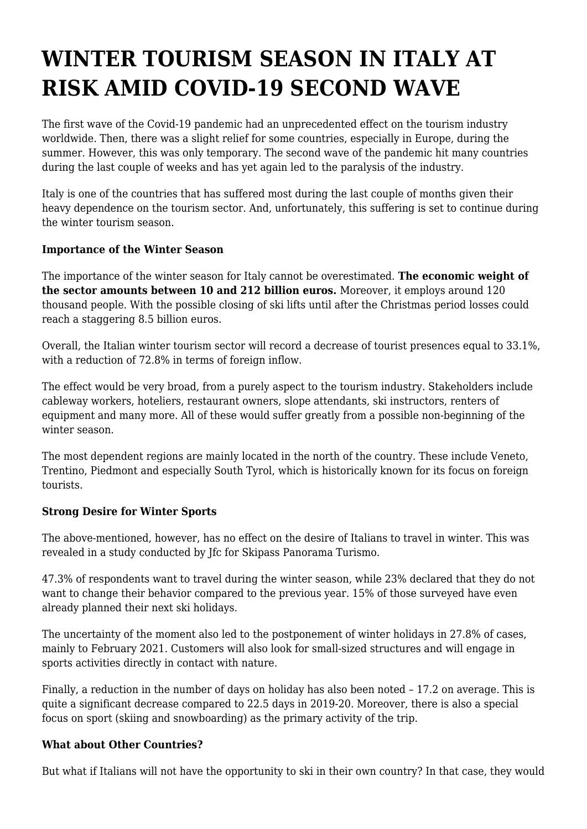## **WINTER TOURISM SEASON IN ITALY AT RISK AMID COVID-19 SECOND WAVE**

The first wave of the Covid-19 pandemic had an unprecedented effect on the tourism industry worldwide. Then, there was a slight relief for some countries, especially in Europe, during the summer. However, this was only temporary. The second wave of the pandemic hit many countries during the last couple of weeks and has yet again led to the paralysis of the industry.

Italy is one of the countries that has suffered most during the last couple of months given their heavy dependence on the tourism sector. And, unfortunately, this suffering is set to continue during the winter tourism season.

## **Importance of the Winter Season**

The importance of the winter season for Italy cannot be overestimated. **The economic weight of the sector amounts between 10 and 212 billion euros.** Moreover, it employs around 120 thousand people. With the possible closing of ski lifts until after the Christmas period losses could reach a staggering 8.5 billion euros.

Overall, the Italian winter tourism sector will record a decrease of tourist presences equal to 33.1%, with a reduction of 72.8% in terms of foreign inflow.

The effect would be very broad, from a purely aspect to the tourism industry. Stakeholders include cableway workers, hoteliers, restaurant owners, slope attendants, ski instructors, renters of equipment and many more. All of these would suffer greatly from a possible non-beginning of the winter season.

The most dependent regions are mainly located in the north of the country. These include Veneto, Trentino, Piedmont and especially South Tyrol, which is historically known for its focus on foreign tourists.

## **Strong Desire for Winter Sports**

The above-mentioned, however, has no effect on the desire of Italians to travel in winter. This was revealed in a study conducted by Jfc for Skipass Panorama Turismo.

47.3% of respondents want to travel during the winter season, while 23% declared that they do not want to change their behavior compared to the previous year. 15% of those surveyed have even already planned their next ski holidays.

The uncertainty of the moment also led to the postponement of winter holidays in 27.8% of cases, mainly to February 2021. Customers will also look for small-sized structures and will engage in sports activities directly in contact with nature.

Finally, a reduction in the number of days on holiday has also been noted – 17.2 on average. This is quite a significant decrease compared to 22.5 days in 2019-20. Moreover, there is also a special focus on sport (skiing and snowboarding) as the primary activity of the trip.

## **What about Other Countries?**

But what if Italians will not have the opportunity to ski in their own country? In that case, they would